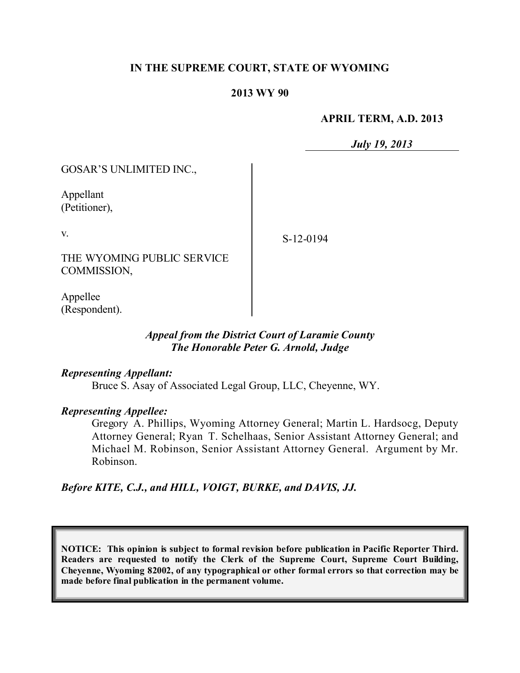## **IN THE SUPREME COURT, STATE OF WYOMING**

#### **2013 WY 90**

#### **APRIL TERM, A.D. 2013**

*July 19, 2013*

GOSAR'S UNLIMITED INC.,

Appellant (Petitioner),

v.

S-12-0194

THE WYOMING PUBLIC SERVICE COMMISSION,

Appellee (Respondent).

## *Appeal from the District Court of Laramie County The Honorable Peter G. Arnold, Judge*

### *Representing Appellant:*

Bruce S. Asay of Associated Legal Group, LLC, Cheyenne, WY.

### *Representing Appellee:*

Gregory A. Phillips, Wyoming Attorney General; Martin L. Hardsocg, Deputy Attorney General; Ryan T. Schelhaas, Senior Assistant Attorney General; and Michael M. Robinson, Senior Assistant Attorney General. Argument by Mr. Robinson.

*Before KITE, C.J., and HILL, VOIGT, BURKE, and DAVIS, JJ.*

**NOTICE: This opinion is subject to formal revision before publication in Pacific Reporter Third. Readers are requested to notify the Clerk of the Supreme Court, Supreme Court Building, Cheyenne, Wyoming 82002, of any typographical or other formal errors so that correction may be made before final publication in the permanent volume.**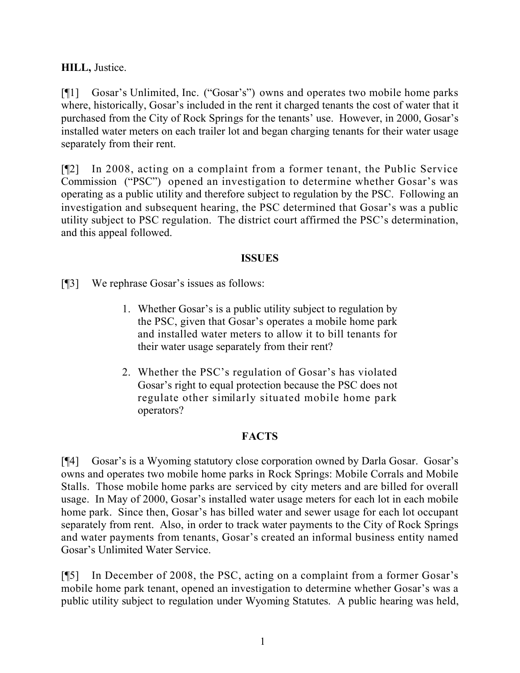**HILL,** Justice.

[¶1] Gosar's Unlimited, Inc. ("Gosar's") owns and operates two mobile home parks where, historically, Gosar's included in the rent it charged tenants the cost of water that it purchased from the City of Rock Springs for the tenants' use. However, in 2000, Gosar's installed water meters on each trailer lot and began charging tenants for their water usage separately from their rent.

[¶2] In 2008, acting on a complaint from a former tenant, the Public Service Commission ("PSC") opened an investigation to determine whether Gosar's was operating as a public utility and therefore subject to regulation by the PSC. Following an investigation and subsequent hearing, the PSC determined that Gosar's was a public utility subject to PSC regulation. The district court affirmed the PSC's determination, and this appeal followed.

# **ISSUES**

[¶3] We rephrase Gosar's issues as follows:

- 1. Whether Gosar's is a public utility subject to regulation by the PSC, given that Gosar's operates a mobile home park and installed water meters to allow it to bill tenants for their water usage separately from their rent?
- 2. Whether the PSC's regulation of Gosar's has violated Gosar's right to equal protection because the PSC does not regulate other similarly situated mobile home park operators?

# **FACTS**

[¶4] Gosar's is a Wyoming statutory close corporation owned by Darla Gosar. Gosar's owns and operates two mobile home parks in Rock Springs: Mobile Corrals and Mobile Stalls. Those mobile home parks are serviced by city meters and are billed for overall usage. In May of 2000, Gosar's installed water usage meters for each lot in each mobile home park. Since then, Gosar's has billed water and sewer usage for each lot occupant separately from rent. Also, in order to track water payments to the City of Rock Springs and water payments from tenants, Gosar's created an informal business entity named Gosar's Unlimited Water Service.

[¶5] In December of 2008, the PSC, acting on a complaint from a former Gosar's mobile home park tenant, opened an investigation to determine whether Gosar's was a public utility subject to regulation under Wyoming Statutes. A public hearing was held,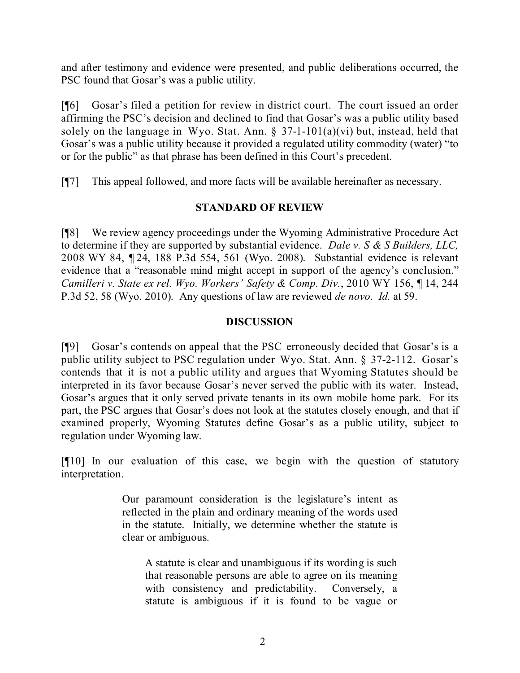and after testimony and evidence were presented, and public deliberations occurred, the PSC found that Gosar's was a public utility.

[¶6] Gosar's filed a petition for review in district court. The court issued an order affirming the PSC's decision and declined to find that Gosar's was a public utility based solely on the language in Wyo. Stat. Ann.  $\S$  37-1-101(a)(vi) but, instead, held that Gosar's was a public utility because it provided a regulated utility commodity (water) "to or for the public" as that phrase has been defined in this Court's precedent.

[¶7] This appeal followed, and more facts will be available hereinafter as necessary.

# **STANDARD OF REVIEW**

[¶8] We review agency proceedings under the Wyoming Administrative Procedure Act to determine if they are supported by substantial evidence. *Dale v. S & S Builders, LLC,*  2008 WY 84, ¶ 24, 188 P.3d 554, 561 (Wyo. 2008). Substantial evidence is relevant evidence that a "reasonable mind might accept in support of the agency's conclusion." *Camilleri v. State ex rel. Wyo. Workers' Safety & Comp. Div.*, 2010 WY 156, ¶ 14, 244 P.3d 52, 58 (Wyo. 2010). Any questions of law are reviewed *de novo*. *Id.* at 59.

# **DISCUSSION**

[¶9] Gosar's contends on appeal that the PSC erroneously decided that Gosar's is a public utility subject to PSC regulation under Wyo. Stat. Ann. § 37-2-112. Gosar's contends that it is not a public utility and argues that Wyoming Statutes should be interpreted in its favor because Gosar's never served the public with its water. Instead, Gosar's argues that it only served private tenants in its own mobile home park. For its part, the PSC argues that Gosar's does not look at the statutes closely enough, and that if examined properly, Wyoming Statutes define Gosar's as a public utility, subject to regulation under Wyoming law.

[¶10] In our evaluation of this case, we begin with the question of statutory interpretation.

> Our paramount consideration is the legislature's intent as reflected in the plain and ordinary meaning of the words used in the statute. Initially, we determine whether the statute is clear or ambiguous.

A statute is clear and unambiguous if its wording is such that reasonable persons are able to agree on its meaning with consistency and predictability. Conversely, a statute is ambiguous if it is found to be vague or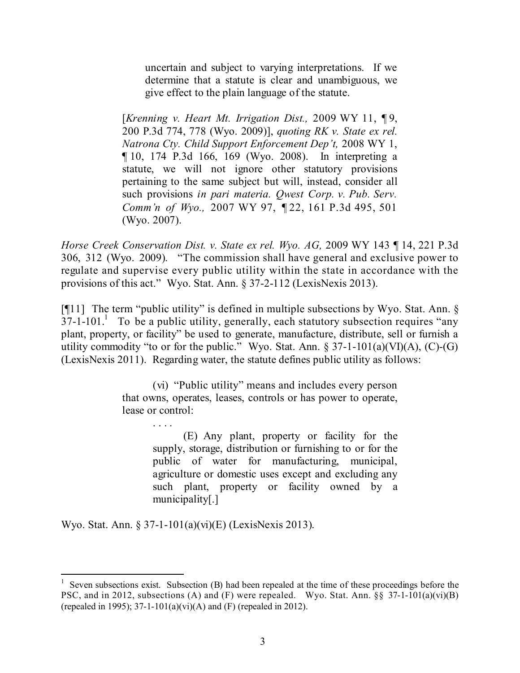uncertain and subject to varying interpretations. If we determine that a statute is clear and unambiguous, we give effect to the plain language of the statute.

[*Krenning v. Heart Mt. Irrigation Dist.,* 2009 WY 11, ¶ 9, 200 P.3d 774, 778 (Wyo. 2009)], *quoting RK v. State ex rel. Natrona Cty. Child Support Enforcement Dep't,* 2008 WY 1, ¶ 10, 174 P.3d 166, 169 (Wyo. 2008). In interpreting a statute, we will not ignore other statutory provisions pertaining to the same subject but will, instead, consider all such provisions *in pari materia. Qwest Corp. v. Pub. Serv. Comm'n of Wyo.,* 2007 WY 97, ¶ 22, 161 P.3d 495, 501 (Wyo. 2007).

*Horse Creek Conservation Dist. v. State ex rel. Wyo. AG,* 2009 WY 143 ¶ 14, 221 P.3d 306, 312 (Wyo. 2009). "The commission shall have general and exclusive power to regulate and supervise every public utility within the state in accordance with the provisions of this act." Wyo. Stat. Ann. § 37-2-112 (LexisNexis 2013).

[ $[$ [11] The term "public utility" is defined in multiple subsections by Wyo. Stat. Ann.  $\S$  $37$ -1-101.<sup>1</sup> To be a public utility, generally, each statutory subsection requires "any plant, property, or facility" be used to generate, manufacture, distribute, sell or furnish a utility commodity "to or for the public." Wyo. Stat. Ann.  $\S 37$ -1-101(a)(VI)(A), (C)-(G) (LexisNexis 2011). Regarding water, the statute defines public utility as follows:

> (vi) "Public utility" means and includes every person that owns, operates, leases, controls or has power to operate, lease or control:

> > (E) Any plant, property or facility for the supply, storage, distribution or furnishing to or for the public of water for manufacturing, municipal, agriculture or domestic uses except and excluding any such plant, property or facility owned by a municipality[.]

Wyo. Stat. Ann. § 37-1-101(a)(vi)(E) (LexisNexis 2013).

<sup>1</sup> Seven subsections exist. Subsection (B) had been repealed at the time of these proceedings before the PSC, and in 2012, subsections (A) and (F) were repealed. Wyo. Stat. Ann. §§ 37-1-101(a)(vi)(B) (repealed in 1995); 37-1-101(a)(vi)(A) and (F) (repealed in 2012).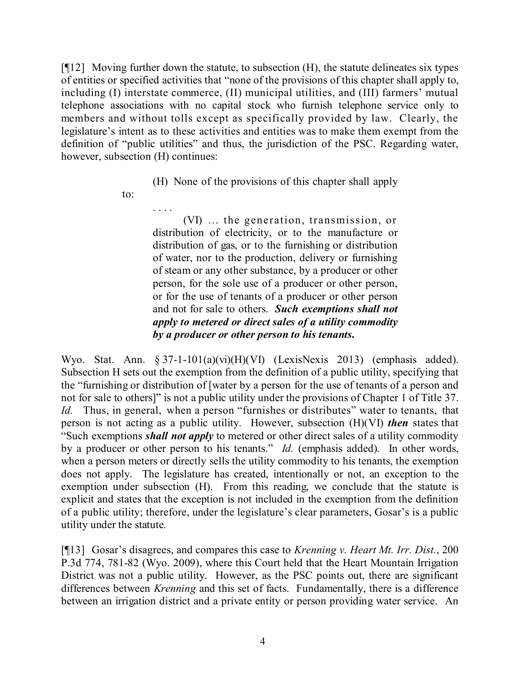[¶12] Moving further down the statute, to subsection (H), the statute delineates six types of entities or specified activities that "none of the provisions of this chapter shall apply to, including (I) interstate commerce, (II) municipal utilities, and (III) farmers' mutual telephone associations with no capital stock who furnish telephone service only to members and without tolls except as specifically provided by law. Clearly, the legislature's intent as to these activities and entities was to make them exempt from the definition of "public utilities" and thus, the jurisdiction of the PSC. Regarding water, however, subsection (H) continues:

(H) None of the provisions of this chapter shall apply

to:

. . . .

(VI) … the generation, transmission, or distribution of electricity, or to the manufacture or distribution of gas, or to the furnishing or distribution of water, nor to the production, delivery or furnishing of steam or any other substance, by a producer or other person, for the sole use of a producer or other person, or for the use of tenants of a producer or other person and not for sale to others. *Such exemptions shall not apply to metered or direct sales of a utility commodity by a producer or other person to his tenants***.**

Wyo. Stat. Ann. § 37-1-101(a)(vi)(H)(VI) (LexisNexis 2013) (emphasis added). Subsection H sets out the exemption from the definition of a public utility, specifying that the "furnishing or distribution of [water by a person for the use of tenants of a person and not for sale to others]" is not a public utility under the provisions of Chapter 1 of Title 37. *Id.* Thus, in general, when a person "furnishes or distributes" water to tenants, that person is not acting as a public utility. However, subsection (H)(VI) *then* states that "Such exemptions *shall not apply* to metered or other direct sales of a utility commodity by a producer or other person to his tenants." *Id.* (emphasis added). In other words, when a person meters or directly sells the utility commodity to his tenants, the exemption does not apply. The legislature has created, intentionally or not, an exception to the exemption under subsection (H). From this reading, we conclude that the statute is explicit and states that the exception is not included in the exemption from the definition of a public utility; therefore, under the legislature's clear parameters, Gosar's is a public utility under the statute.

[¶13] Gosar's disagrees, and compares this case to *Krenning v. Heart Mt. Irr. Dist.*, 200 P.3d 774, 781-82 (Wyo. 2009), where this Court held that the Heart Mountain Irrigation District was not a public utility. However, as the PSC points out, there are significant differences between *Krenning* and this set of facts. Fundamentally, there is a difference between an irrigation district and a private entity or person providing water service. An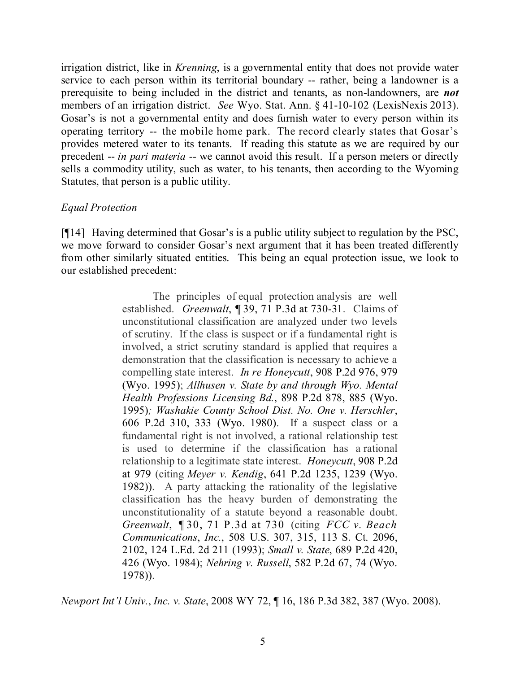irrigation district, like in *Krenning*, is a governmental entity that does not provide water service to each person within its territorial boundary -- rather, being a landowner is a prerequisite to being included in the district and tenants, as non-landowners, are *not* members of an irrigation district. *See* Wyo. Stat. Ann. § 41-10-102 (LexisNexis 2013). Gosar's is not a governmental entity and does furnish water to every person within its operating territory -- the mobile home park. The record clearly states that Gosar's provides metered water to its tenants. If reading this statute as we are required by our precedent -- *in pari materia --* we cannot avoid this result. If a person meters or directly sells a commodity utility, such as water, to his tenants, then according to the Wyoming Statutes, that person is a public utility.

## *Equal Protection*

[¶14] Having determined that Gosar's is a public utility subject to regulation by the PSC, we move forward to consider Gosar's next argument that it has been treated differently from other similarly situated entities. This being an equal protection issue, we look to our established precedent:

> The principles of equal protection analysis are well established. *Greenwalt*, ¶ 39, 71 P.3d at 730-31. Claims of unconstitutional classification are analyzed under two levels of scrutiny. If the class is suspect or if a fundamental right is involved, a strict scrutiny standard is applied that requires a demonstration that the classification is necessary to achieve a compelling state interest. *In re Honeycutt*, 908 P.2d 976, 979 (Wyo. 1995); *Allhusen v. State by and through Wyo. Mental Health Professions Licensing Bd.*, 898 P.2d 878, 885 (Wyo. 1995)*; Washakie County School Dist. No. One v. Herschler*, 606 P.2d 310, 333 (Wyo. 1980). If a suspect class or a fundamental right is not involved, a rational relationship test is used to determine if the classification has a rational relationship to a legitimate state interest. *Honeycutt*, 908 P.2d at 979 (citing *Meyer v. Kendig*, 641 P.2d 1235, 1239 (Wyo. 1982)). A party attacking the rationality of the legislative classification has the heavy burden of demonstrating the unconstitutionality of a statute beyond a reasonable doubt. *Greenwalt*, ¶ 30, 71 P.3d at 730 (citing *FCC v. Beach Communications*, *Inc.*, 508 U.S. 307, 315, 113 S. Ct. 2096, 2102, 124 L.Ed. 2d 211 (1993); *Small v. State*, 689 P.2d 420, 426 (Wyo. 1984); *Nehring v. Russell*, 582 P.2d 67, 74 (Wyo. 1978)).

*Newport Int'l Univ.*, *Inc. v. State*, 2008 WY 72, ¶ 16, 186 P.3d 382, 387 (Wyo. 2008).